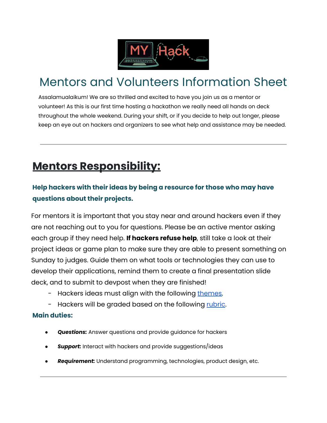

# Mentors and Volunteers Information Sheet

Assalamualaikum! We are so thrilled and excited to have you join us as a mentor or volunteer! As this is our first time hosting a hackathon we really need all hands on deck throughout the whole weekend. During your shift, or if you decide to help out longer, please keep an eye out on hackers and organizers to see what help and assistance may be needed.

# **Mentors Responsibility:**

# **Help hackers with their ideas by being a resource for those who may have questions about their projects.**

For mentors it is important that you stay near and around hackers even if they are not reaching out to you for questions. Please be an active mentor asking each group if they need help. **If hackers refuse help**, still take a look at their project ideas or game plan to make sure they are able to present something on Sunday to judges. Guide them on what tools or technologies they can use to develop their applications, remind them to create a final presentation slide deck, and to submit to devpost when they are finished!

- Hackers ideas must align with the following [themes.](https://acrobat.adobe.com/link/review?uri=urn:aaid:scds:US:e45042e2-0351-35aa-bff6-4d68466a76ce)
- Hackers will be graded based on the following [rubric.](https://acrobat.adobe.com/link/review?uri=urn:aaid:scds:US:76d54ea0-8530-3f85-9bff-16046bc02da0#pageNum=1)

#### **Main duties:**

- **Questions:** Answer questions and provide guidance for hackers
- **Support:** Interact with hackers and provide suggestions/ideas
- Requirement: Understand programming, technologies, product design, etc.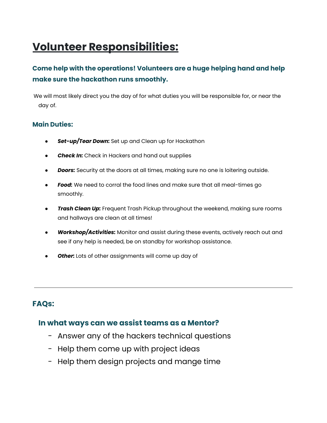# **Volunteer Responsibilities:**

# **Come help with the operations! Volunteers are a huge helping hand and help make sure the hackathon runs smoothly.**

We will most likely direct you the day of for what duties you will be responsible for, or near the day of.

#### **Main Duties:**

- *Set-up/Tear Down:* Set up and Clean up for Hackathon
- *Check In:* Check in Hackers and hand out supplies
- **Doors:** Security at the doors at all times, making sure no one is loitering outside.
- Food: We need to corral the food lines and make sure that all meal-times go smoothly.
- *Trash Clean Up:* Frequent Trash Pickup throughout the weekend, making sure rooms and hallways are clean at all times!
- *Workshop/Activities:* Monitor and assist during these events, actively reach out and see if any help is needed, be on standby for workshop assistance.
- *Other:* Lots of other assignments will come up day of

### **FAQs:**

#### **In what ways can we assist teams as a Mentor?**

- Answer any of the hackers technical questions
- Help them come up with project ideas
- Help them design projects and mange time